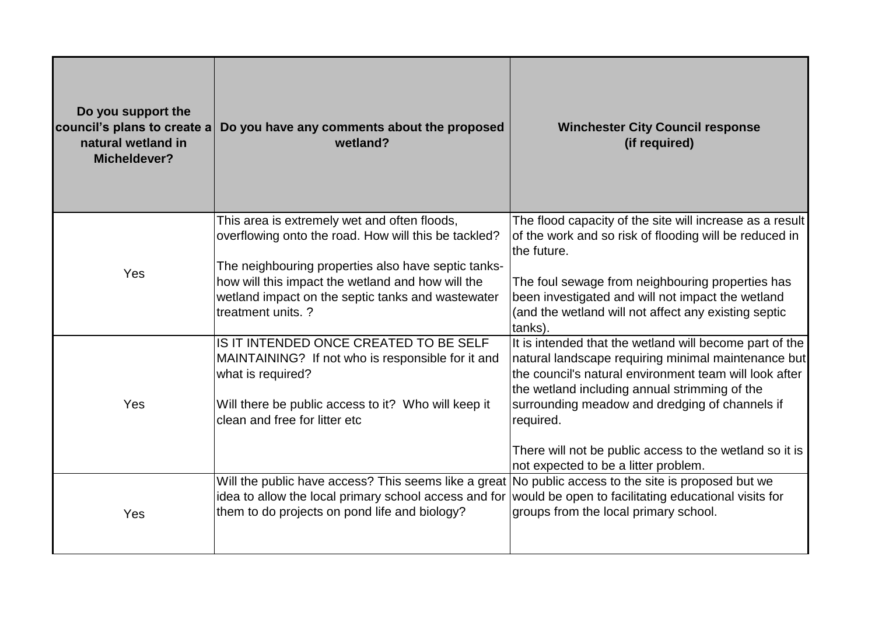| Do you support the<br>council's plans to create a<br>natural wetland in<br>Micheldever? | Do you have any comments about the proposed<br>wetland?                                                                                                                                                                                                                                     | <b>Winchester City Council response</b><br>(if required)                                                                                                                                                                                                                                                                                                                                    |
|-----------------------------------------------------------------------------------------|---------------------------------------------------------------------------------------------------------------------------------------------------------------------------------------------------------------------------------------------------------------------------------------------|---------------------------------------------------------------------------------------------------------------------------------------------------------------------------------------------------------------------------------------------------------------------------------------------------------------------------------------------------------------------------------------------|
| Yes                                                                                     | This area is extremely wet and often floods,<br>overflowing onto the road. How will this be tackled?<br>The neighbouring properties also have septic tanks-<br>how will this impact the wetland and how will the<br>wetland impact on the septic tanks and wastewater<br>Itreatment units.? | The flood capacity of the site will increase as a result<br>of the work and so risk of flooding will be reduced in<br>the future.<br>The foul sewage from neighbouring properties has<br>been investigated and will not impact the wetland<br>(and the wetland will not affect any existing septic<br>tanks).                                                                               |
| Yes                                                                                     | IS IT INTENDED ONCE CREATED TO BE SELF<br>MAINTAINING? If not who is responsible for it and<br>what is required?<br>Will there be public access to it? Who will keep it<br>clean and free for litter etc                                                                                    | It is intended that the wetland will become part of the<br>natural landscape requiring minimal maintenance but<br>the council's natural environment team will look after<br>the wetland including annual strimming of the<br>surrounding meadow and dredging of channels if<br>required.<br>There will not be public access to the wetland so it is<br>not expected to be a litter problem. |
| Yes                                                                                     | Will the public have access? This seems like a great No public access to the site is proposed but we<br>idea to allow the local primary school access and for<br>them to do projects on pond life and biology?                                                                              | would be open to facilitating educational visits for<br>groups from the local primary school.                                                                                                                                                                                                                                                                                               |